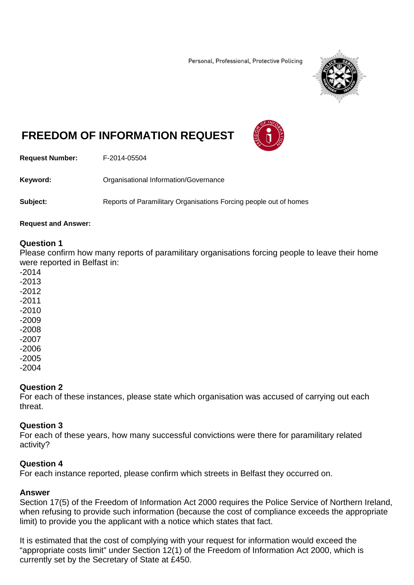Personal, Professional, Protective Policing



# **FREEDOM OF INFORMATION REQUEST**



**Request Number:** F-2014-05504

**Keyword:** Organisational Information/Governance

**Subject:** Reports of Paramilitary Organisations Forcing people out of homes

#### **Request and Answer:**

### **Question 1**

Please confirm how many reports of paramilitary organisations forcing people to leave their home were reported in Belfast in:

- -2014
- -2013
- -2012
- -2011
- -2010
- -2009
- -2008
- -2007
- -2006
- -2005
- -2004

## **Question 2**

For each of these instances, please state which organisation was accused of carrying out each threat.

#### **Question 3**

For each of these years, how many successful convictions were there for paramilitary related activity?

## **Question 4**

For each instance reported, please confirm which streets in Belfast they occurred on.

#### **Answer**

Section 17(5) of the Freedom of Information Act 2000 requires the Police Service of Northern Ireland, when refusing to provide such information (because the cost of compliance exceeds the appropriate limit) to provide you the applicant with a notice which states that fact.

It is estimated that the cost of complying with your request for information would exceed the "appropriate costs limit" under Section 12(1) of the Freedom of Information Act 2000, which is currently set by the Secretary of State at £450.